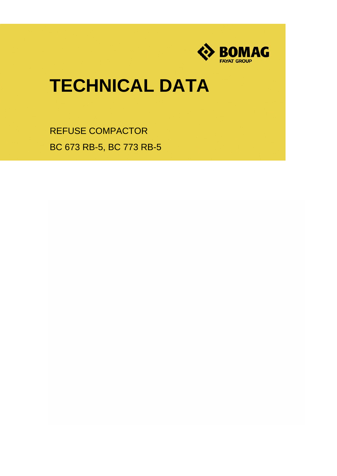

## **TECHNICAL DATA**

REFUSE COMPACTOR BC 673 RB-5, BC 773 RB-5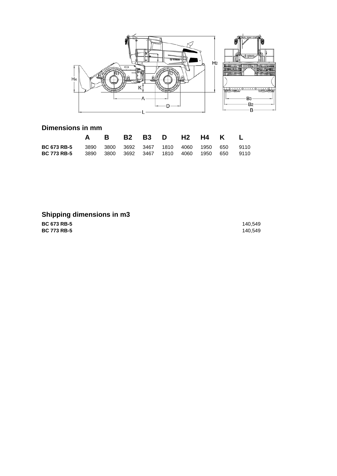

## **Dimensions in mm**

|                                                                                                                                  |  |  | A B B2 B3 D H2 H4 K L |  |  |
|----------------------------------------------------------------------------------------------------------------------------------|--|--|-----------------------|--|--|
| <b>BC 673 RB-5</b> 3890 3800 3692 3467 1810 4060 1950 650 9110<br><b>BC 773 RB-5</b> 3890 3800 3692 3467 1810 4060 1950 650 9110 |  |  |                       |  |  |

## **Shipping dimensions in m3**

**BC 673 RB-5 BC 773 RB-5**

140,549 140,549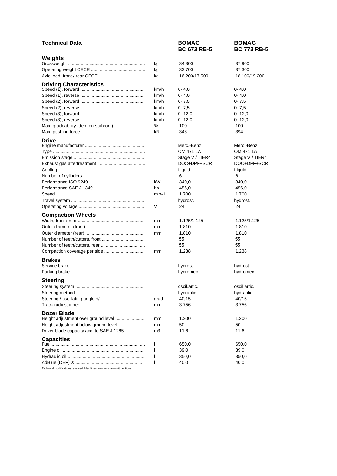| <b>Technical Data</b>                   |              | <b>BOMAG</b><br><b>BC 673 RB-5</b> | <b>BOMAG</b><br><b>BC 773 RB-5</b> |
|-----------------------------------------|--------------|------------------------------------|------------------------------------|
| Weights                                 |              |                                    |                                    |
|                                         | kg           | 34.300                             | 37.900                             |
|                                         | kg           | 33.700                             | 37.300                             |
|                                         | kg           | 16.200/17.500                      | 18.100/19.200                      |
| <b>Driving Characteristics</b>          |              |                                    |                                    |
|                                         | km/h         | $0 - 4,0$                          | $0 - 4, 0$                         |
|                                         | km/h         | $0 - 4,0$                          | $0 - 4,0$                          |
|                                         | km/h         | $0 - 7,5$                          | $0 - 7,5$                          |
|                                         | km/h         | $0 - 7,5$                          | $0 - 7.5$                          |
|                                         | km/h         | $0 - 12,0$                         | $0 - 12,0$                         |
|                                         | km/h         | $0 - 12.0$                         | $0 - 12,0$                         |
| Max. gradeability (dep. on soil con.)   | ℅            | 100                                | 100                                |
|                                         | kN           | 346                                | 394                                |
| <b>Drive</b>                            |              |                                    |                                    |
|                                         |              | Merc.-Benz                         | Merc.-Benz                         |
|                                         |              | <b>OM 471 LA</b>                   | OM 471 LA                          |
|                                         |              | Stage V / TIER4                    | Stage V / TIER4                    |
|                                         |              | DOC+DPF+SCR                        | DOC+DPF+SCR                        |
|                                         |              | Liquid                             | Liquid                             |
|                                         |              | 6                                  | 6                                  |
|                                         | kW           | 340,0                              | 340,0                              |
|                                         | hp           | 456,0                              | 456,0                              |
|                                         | min-1        | 1.700                              | 1.700                              |
|                                         | V            | hydrost.<br>24                     | hydrost.<br>24                     |
|                                         |              |                                    |                                    |
| <b>Compaction Wheels</b>                |              |                                    |                                    |
|                                         | mm           | 1.125/1.125                        | 1.125/1.125                        |
|                                         | mm           | 1.810                              | 1.810                              |
|                                         | mm           | 1.810                              | 1.810                              |
|                                         |              | 55                                 | 55                                 |
|                                         |              | 55                                 | 55                                 |
|                                         | mm           | 1.238                              | 1.238                              |
| <b>Brakes</b>                           |              |                                    |                                    |
|                                         |              | hydrost.                           | hydrost.                           |
|                                         |              | hydromec.                          | hydromec.                          |
| <b>Steering</b>                         |              |                                    |                                    |
|                                         |              | oscil.artic.                       | oscil.artic.                       |
|                                         |              | hydraulic                          | hydraulic                          |
|                                         | grad         | 40/15                              | 40/15                              |
|                                         | mm           | 3.756                              | 3.756                              |
| Dozer Blade                             |              |                                    |                                    |
| Height adjustment over ground level     | mm           | 1.200                              | 1.200                              |
| Height adjustment below ground level    | mm           | 50                                 | 50                                 |
| Dozer blade capacity acc. to SAE J 1265 | m3           | 11,6                               | 11,6                               |
| <b>Capacities</b>                       |              |                                    |                                    |
|                                         | $\mathbf{I}$ | 650,0                              | 650,0                              |
|                                         | $\mathbf{I}$ | 39,0                               | 39,0                               |
|                                         | $\mathsf{I}$ | 350,0                              | 350,0                              |
|                                         | $\mathsf{I}$ | 40,0                               | 40,0                               |
|                                         |              |                                    |                                    |

Technical modifications reserved. Machines may be shown with options.